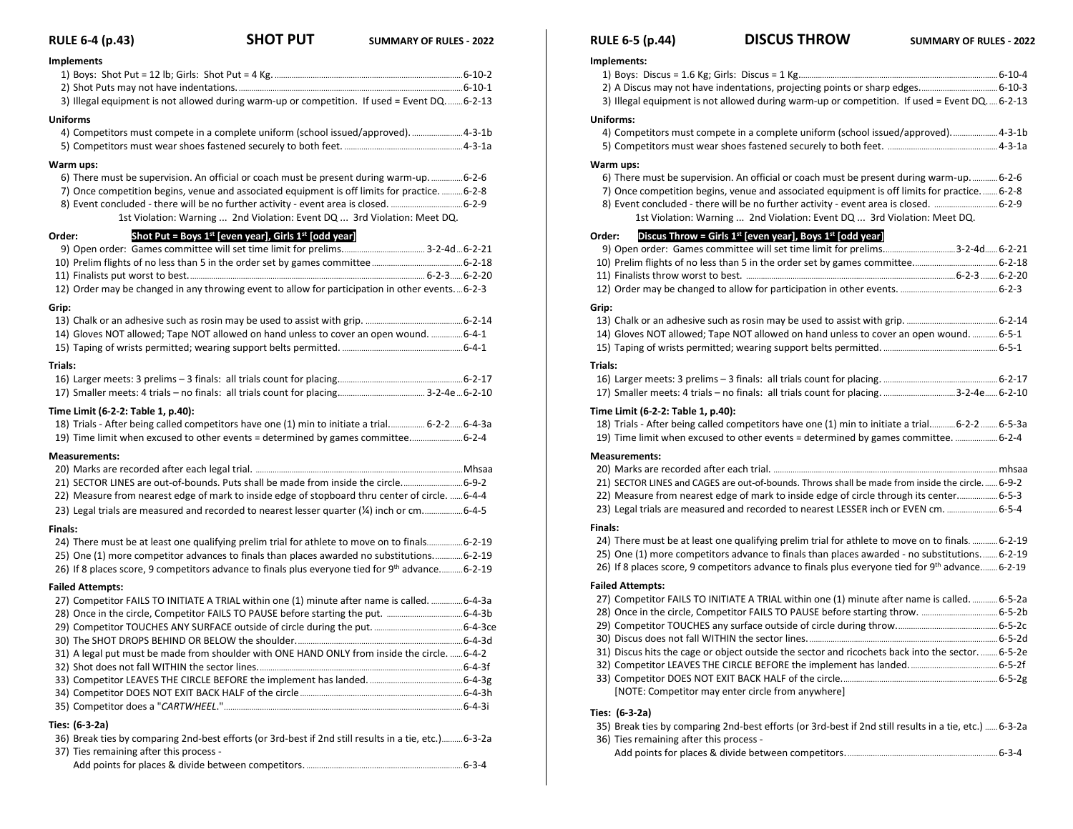### **RULE 6-4 (p.43) SHOT PUT SUMMARY OF RULES - <sup>2022</sup> Implements** 1) Boys: Shot Put = 12 lb; Girls: Shot Put = 4 Kg. .........................................................................................6-10-2 2) Shot Puts may not have indentations...........................................................................................................6-10-1 3) Illegal equipment is not allowed during warm-up or competition. If used = Event DQ........6-2-13 **Uniforms** 4) Competitors must compete in a complete uniform (school issued/approved). ........................4-3-1b

#### **Warm ups:**

| 7) Once competition begins, venue and associated equipment is off limits for practice. 6-2-8 |  |
|----------------------------------------------------------------------------------------------|--|
|                                                                                              |  |
| 1st Violation: Warning  2nd Violation: Event DQ  3rd Violation: Meet DQ.                     |  |

### **Order: Shot Put = Boys 1 st [even year], Girls 1st [odd year]**

| 12) Order may be changed in any throwing event to allow for participation in other events6-2-3 |  |
|------------------------------------------------------------------------------------------------|--|
| Grip:                                                                                          |  |
|                                                                                                |  |
| 14) Gloves NOT allowed; Tape NOT allowed on hand unless to cover an open wound. 6-4-1          |  |
|                                                                                                |  |
| Trials:                                                                                        |  |
|                                                                                                |  |
|                                                                                                |  |

#### **Time Limit (6-2-2: Table 1, p.40):**

| 18) Trials - After being called competitors have one (1) min to initiate a trial 6-2-2 6-4-3a |  |
|-----------------------------------------------------------------------------------------------|--|
|                                                                                               |  |

#### **Measurements:**

| 21) SECTOR LINES are out-of-bounds. Puts shall be made from inside the circle6-9-2              |  |
|-------------------------------------------------------------------------------------------------|--|
| 22) Measure from nearest edge of mark to inside edge of stopboard thru center of circle.  6-4-4 |  |
|                                                                                                 |  |

#### **Finals:**

| 24) There must be at least one qualifying prelim trial for athlete to move on to final match-2-19 |  |
|---------------------------------------------------------------------------------------------------|--|
| 25) One (1) more competitor advances to finals than places awarded no substitutions6-2-19         |  |
| 26) If 8 places score, 9 competitors advance to finals plus everyone tied for 9th advance6-2-19   |  |

#### **Failed Attempts:**

| 27) Competitor FAILS TO INITIATE A TRIAL within one (1) minute after name is called.  6-4-3a |  |
|----------------------------------------------------------------------------------------------|--|
|                                                                                              |  |
|                                                                                              |  |
|                                                                                              |  |
| 31) A legal put must be made from shoulder with ONE HAND ONLY from inside the circle.  6-4-2 |  |
|                                                                                              |  |
|                                                                                              |  |
|                                                                                              |  |
|                                                                                              |  |
|                                                                                              |  |

#### **Ties: (6-3-2a)**

| 36) Break ties by comparing 2nd-best efforts (or 3rd-best if 2nd still results in a tie, etc.)6-3-2a |
|------------------------------------------------------------------------------------------------------|
| 37) Ties remaining after this process -                                                              |
| 6-3-4                                                                                                |

### **RULE 6-5 (p.44) DISCUS THROW SUMMARY OF RULES - <sup>2022</sup>**

| Implements:                                                                                                                                                                                      |  |
|--------------------------------------------------------------------------------------------------------------------------------------------------------------------------------------------------|--|
|                                                                                                                                                                                                  |  |
|                                                                                                                                                                                                  |  |
| 3) Illegal equipment is not allowed during warm-up or competition. If used = Event DQ 6-2-13                                                                                                     |  |
| <b>Uniforms:</b>                                                                                                                                                                                 |  |
| 4) Competitors must compete in a complete uniform (school issued/approved) 4-3-1b                                                                                                                |  |
|                                                                                                                                                                                                  |  |
| Warm ups:                                                                                                                                                                                        |  |
| 6-2-6. There must be supervision. An official or coach must be present during warm-up 6-2-6                                                                                                      |  |
| 7) Once competition begins, venue and associated equipment is off limits for practice 6-2-8                                                                                                      |  |
| 8) Event concluded - there will be no further activity - event area is closed.  6-2-9                                                                                                            |  |
| 1st Violation: Warning  2nd Violation: Event DQ  3rd Violation: Meet DQ.                                                                                                                         |  |
|                                                                                                                                                                                                  |  |
| Discus Throw = Girls $1^{st}$ [even year], Boys $1^{st}$ [odd year]<br>Order:                                                                                                                    |  |
| 9) Open order: Games committee will set time limit for prelims3-2-4d 6-2-21                                                                                                                      |  |
|                                                                                                                                                                                                  |  |
|                                                                                                                                                                                                  |  |
|                                                                                                                                                                                                  |  |
| Grip:                                                                                                                                                                                            |  |
|                                                                                                                                                                                                  |  |
| 14) Gloves NOT allowed; Tape NOT allowed on hand unless to cover an open wound.  6-5-1                                                                                                           |  |
|                                                                                                                                                                                                  |  |
| Trials:                                                                                                                                                                                          |  |
|                                                                                                                                                                                                  |  |
| 17) Smaller meets: 4 trials - no finals: all trials count for placing. 3-2-4e 6-2-10                                                                                                             |  |
| Time Limit (6-2-2: Table 1, p.40):                                                                                                                                                               |  |
| 18) Trials - After being called competitors have one (1) min to initiate a trial 6-2-2  6-5-3a                                                                                                   |  |
| 19) Time limit when excused to other events = determined by games committee.  6-2-4                                                                                                              |  |
| <b>Measurements:</b>                                                                                                                                                                             |  |
|                                                                                                                                                                                                  |  |
| 21) SECTOR LINES and CAGES are out-of-bounds. Throws shall be made from inside the circle 6-9-2                                                                                                  |  |
| 22) Measure from nearest edge of mark to inside edge of circle through its center 6-5-3                                                                                                          |  |
| 23) Legal trials are measured and recorded to nearest LESSER inch or EVEN cm.  6-5-4                                                                                                             |  |
|                                                                                                                                                                                                  |  |
| Finals:                                                                                                                                                                                          |  |
| 24) There must be at least one qualifying prelim trial for athlete to move on to finals.  6-2-19<br>25) One (1) more competitors advance to finals than places awarded - no substitutions 6-2-19 |  |
| 26) If 8 places score, 9 competitors advance to finals plus everyone tied for 9th advance 6-2-19                                                                                                 |  |
|                                                                                                                                                                                                  |  |
| <b>Failed Attempts:</b>                                                                                                                                                                          |  |
| 27) Competitor FAILS TO INITIATE A TRIAL within one (1) minute after name is called.  6-5-2a                                                                                                     |  |
|                                                                                                                                                                                                  |  |
|                                                                                                                                                                                                  |  |
|                                                                                                                                                                                                  |  |
| 31) Discus hits the cage or object outside the sector and ricochets back into the sector.  6-5-2e                                                                                                |  |
|                                                                                                                                                                                                  |  |
| [NOTE: Competitor may enter circle from anywhere]                                                                                                                                                |  |
|                                                                                                                                                                                                  |  |
| Ties: (6-3-2a)                                                                                                                                                                                   |  |

#### 35) Break ties by comparing 2nd-best efforts (or 3rd-best if 2nd still results in a tie, etc.) ......6-3-2a 36) Ties remaining after this process -

Add points for places & divide between competitors........................................................................6-3-4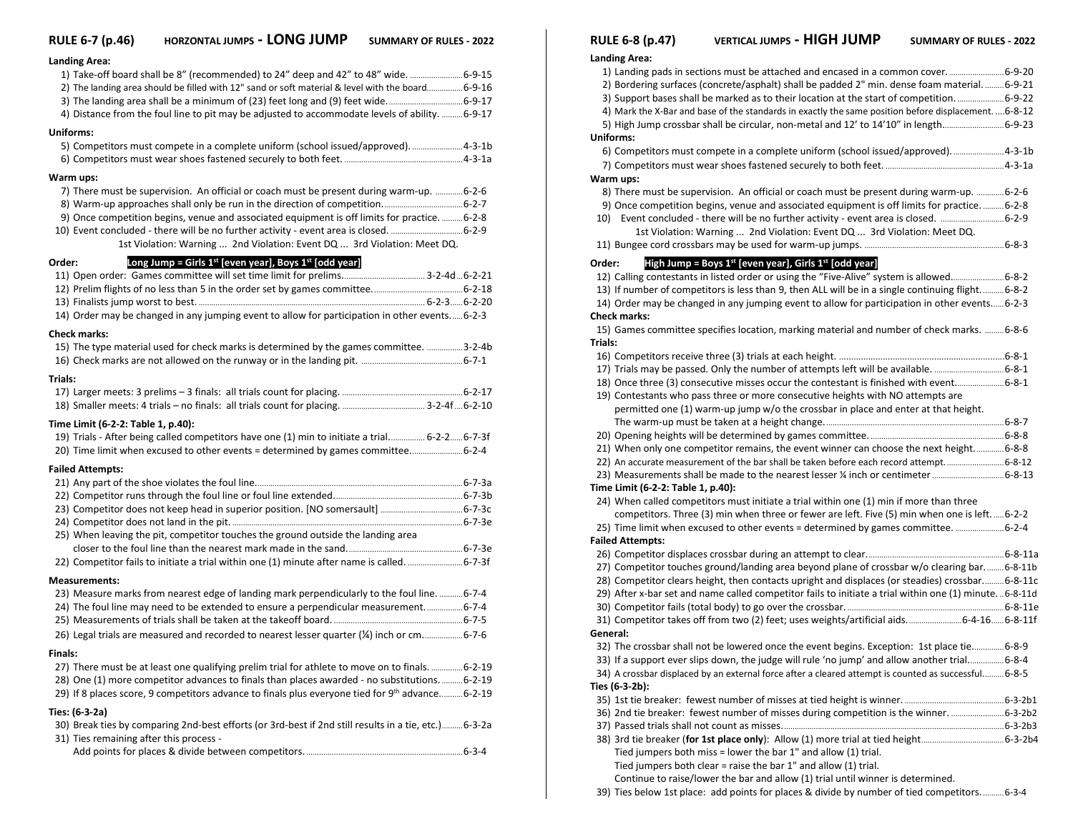# **RULE 6-7 (p.46) HORZONTAL JUMPS - LONG JUMP SUMMARY OF RULES - <sup>2022</sup>**

| <b>Landing Area:</b>                                                                                                    |  |
|-------------------------------------------------------------------------------------------------------------------------|--|
| 1) Take-off board shall be 8" (recommended) to 24" deep and 42" to 48" wide.  6-9-15                                    |  |
| 2) The landing area should be filled with 12" sand or soft material & level with the board6-9-16                        |  |
|                                                                                                                         |  |
| 4) Distance from the foul line to pit may be adjusted to accommodate levels of ability.  6-9-17                         |  |
| Uniforms:                                                                                                               |  |
| 5) Competitors must compete in a complete uniform (school issued/approved). 4-3-1b                                      |  |
|                                                                                                                         |  |
| Warm ups:                                                                                                               |  |
| 7) There must be supervision. An official or coach must be present during warm-up. 6-2-6                                |  |
|                                                                                                                         |  |
| 9) Once competition begins, venue and associated equipment is off limits for practice.  6-2-8                           |  |
| 10) Event concluded - there will be no further activity - event area is closed. 6-2-9                                   |  |
| 1st Violation: Warning  2nd Violation: Event DQ  3rd Violation: Meet DQ.                                                |  |
| Long Jump = Girls $1^{st}$ [even year], Boys $1^{st}$ [odd year]<br>Order:                                              |  |
|                                                                                                                         |  |
|                                                                                                                         |  |
| 14) Order may be changed in any jumping event to allow for participation in other events6-2-3                           |  |
|                                                                                                                         |  |
| <b>Check marks:</b>                                                                                                     |  |
| 15) The type material used for check marks is determined by the games committee. 3-2-4b                                 |  |
|                                                                                                                         |  |
| Trials:                                                                                                                 |  |
|                                                                                                                         |  |
|                                                                                                                         |  |
| Time Limit (6-2-2: Table 1, p.40):                                                                                      |  |
| 19) Trials - After being called competitors have one (1) min to initiate a trial 6-2-26-7-3f                            |  |
| 20) Time limit when excused to other events = determined by games committee6-2-4                                        |  |
| <b>Failed Attempts:</b>                                                                                                 |  |
|                                                                                                                         |  |
|                                                                                                                         |  |
|                                                                                                                         |  |
| 25) When leaving the pit, competitor touches the ground outside the landing area                                        |  |
|                                                                                                                         |  |
|                                                                                                                         |  |
|                                                                                                                         |  |
| <b>Measurements:</b><br>23) Measure marks from nearest edge of landing mark perpendicularly to the foul line.  6-7-4    |  |
| 24) The foul line may need to be extended to ensure a perpendicular measurement6-7-4                                    |  |
|                                                                                                                         |  |
| 26) Legal trials are measured and recorded to nearest lesser quarter (¼) inch or cm6-7-6                                |  |
|                                                                                                                         |  |
| Finals:<br>27) There must be at least one qualifying prelim trial for athlete to move on to finals. 6-2-19              |  |
| 28) One (1) more competitor advances to finals than places awarded - no substitutions.  6-2-19                          |  |
| 29) If 8 places score, 9 competitors advance to finals plus everyone tied for 9th advance 6-2-19                        |  |
|                                                                                                                         |  |
| Ties: (6-3-2a)<br>30) Break ties by comparing 2nd-best efforts (or 3rd-best if 2nd still results in a tie, etc.) 6-3-2a |  |
| 31) Ties remaining after this process -                                                                                 |  |
|                                                                                                                         |  |
|                                                                                                                         |  |

|          | <b>RULE 6-8 (p.47)</b>             | <b>VERTICAL JUMPS - HIGH JUMP</b><br><b>SUMMARY OF RULES - 2022</b>                                   |  |
|----------|------------------------------------|-------------------------------------------------------------------------------------------------------|--|
|          | <b>Landing Area:</b>               |                                                                                                       |  |
|          |                                    | 1) Landing pads in sections must be attached and encased in a common cover 6-9-20                     |  |
|          |                                    | 2) Bordering surfaces (concrete/asphalt) shall be padded 2" min. dense foam material.  6-9-21         |  |
|          |                                    | 3) Support bases shall be marked as to their location at the start of competition. 6-9-22             |  |
|          |                                    | 4) Mark the X-Bar and base of the standards in exactly the same position before displacement.  6-8-12 |  |
|          |                                    | 5) High Jump crossbar shall be circular, non-metal and 12' to 14'10" in length 6-9-23                 |  |
|          | Uniforms:                          |                                                                                                       |  |
|          |                                    | 6) Competitors must compete in a complete uniform (school issued/approved).  4-3-1b                   |  |
|          |                                    |                                                                                                       |  |
|          | Warm ups:                          |                                                                                                       |  |
|          |                                    | 8) There must be supervision. An official or coach must be present during warm-up.  6-2-6             |  |
|          |                                    | 9) Once competition begins, venue and associated equipment is off limits for practice.  6-2-8         |  |
|          |                                    | 10) Event concluded - there will be no further activity - event area is closed. 6-2-9                 |  |
|          |                                    | 1st Violation: Warning  2nd Violation: Event DQ  3rd Violation: Meet DQ.                              |  |
|          |                                    |                                                                                                       |  |
| Order:   |                                    | High Jump = Boys $1^{st}$ [even year], Girls $1^{st}$ [odd year]                                      |  |
|          |                                    | 12) Calling contestants in listed order or using the "Five-Alive" system is allowed 6-8-2             |  |
|          |                                    | 13) If number of competitors is less than 9, then ALL will be in a single continuing flight 6-8-2     |  |
|          |                                    | 14) Order may be changed in any jumping event to allow for participation in other events 6-2-3        |  |
|          | <b>Check marks:</b>                |                                                                                                       |  |
|          |                                    | 15) Games committee specifies location, marking material and number of check marks.  6-8-6            |  |
| Trials:  |                                    |                                                                                                       |  |
|          |                                    |                                                                                                       |  |
|          |                                    | 17) Trials may be passed. Only the number of attempts left will be available. 6-8-1                   |  |
|          |                                    | 18) Once three (3) consecutive misses occur the contestant is finished with event 6-8-1               |  |
|          |                                    | 19) Contestants who pass three or more consecutive heights with NO attempts are                       |  |
|          |                                    | permitted one (1) warm-up jump w/o the crossbar in place and enter at that height.                    |  |
|          |                                    |                                                                                                       |  |
|          |                                    |                                                                                                       |  |
|          |                                    | 21) When only one competitor remains, the event winner can choose the next height6-8-8                |  |
|          |                                    | 22) An accurate measurement of the bar shall be taken before each record attempt6-8-12                |  |
|          |                                    | 23) Measurements shall be made to the nearest lesser 1/4 inch or centimeter  6-8-13                   |  |
|          | Time Limit (6-2-2: Table 1, p.40): |                                                                                                       |  |
|          |                                    | 24) When called competitors must initiate a trial within one (1) min if more than three               |  |
|          |                                    | competitors. Three (3) min when three or fewer are left. Five (5) min when one is left.  6-2-2        |  |
|          |                                    | 25) Time limit when excused to other events = determined by games committee.  6-2-4                   |  |
|          | <b>Failed Attempts:</b>            |                                                                                                       |  |
|          |                                    |                                                                                                       |  |
|          |                                    | 27) Competitor touches ground/landing area beyond plane of crossbar w/o clearing bar 6-8-11b          |  |
|          |                                    | 28) Competitor clears height, then contacts upright and displaces (or steadies) crossbar 6-8-11c      |  |
|          |                                    | 29) After x-bar set and name called competitor fails to initiate a trial within one (1) minute6-8-11d |  |
|          |                                    |                                                                                                       |  |
|          |                                    | 31) Competitor takes off from two (2) feet; uses weights/artificial aids6-4-166-8-11f                 |  |
| General: |                                    |                                                                                                       |  |
|          |                                    | e-8-9. The crossbar shall not be lowered once the event begins. Exception: 1st place tie6-8-9         |  |
|          |                                    | 33) If a support ever slips down, the judge will rule 'no jump' and allow another trial6-8-4          |  |
|          |                                    | 34) A crossbar displaced by an external force after a cleared attempt is counted as successful 6-8-5  |  |
|          | Ties (6-3-2b):                     |                                                                                                       |  |
|          |                                    | 36) 2nd tie breaker: fewest number of misses during competition is the winner.  6-3-2b2               |  |
|          |                                    |                                                                                                       |  |
|          |                                    |                                                                                                       |  |
|          |                                    | Tied jumpers both miss = lower the bar $1"$ and allow (1) trial.                                      |  |
|          |                                    | Tied jumpers both clear = raise the bar $1"$ and allow (1) trial.                                     |  |

Continue to raise/lower the bar and allow (1) trial until winner is determined.

|  |  | 39) Ties below 1st place: add points for places & divide by number of tied competitors6-3-4 |
|--|--|---------------------------------------------------------------------------------------------|
|--|--|---------------------------------------------------------------------------------------------|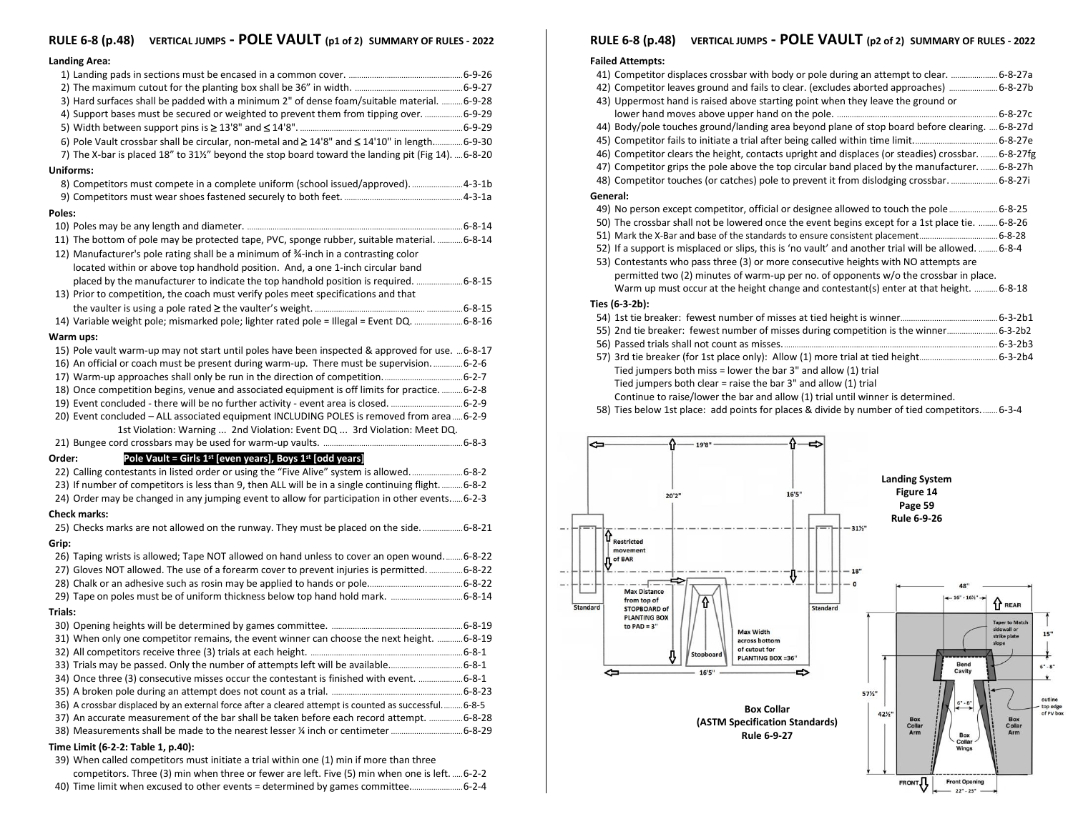# **RULE 6-8 (p.48) VERTICAL JUMPS - POLE VAULT (p1 of 2) SUMMARY OF RULES - <sup>2022</sup>**

### **Landing Area:**

|         | 3) Hard surfaces shall be padded with a minimum 2" of dense foam/suitable material.  6-9-28         |  |  |  |  |
|---------|-----------------------------------------------------------------------------------------------------|--|--|--|--|
|         | 4) Support bases must be secured or weighted to prevent them from tipping over. 6-9-29              |  |  |  |  |
|         |                                                                                                     |  |  |  |  |
|         | 6) Pole Vault crossbar shall be circular, non-metal and ≥ 14'8" and ≤ 14'10" in length6-9-30        |  |  |  |  |
|         | 7) The X-bar is placed 18" to 311/2" beyond the stop board toward the landing pit (Fig 14).  6-8-20 |  |  |  |  |
|         | Uniforms:                                                                                           |  |  |  |  |
|         | 8) Competitors must compete in a complete uniform (school issued/approved). 4-3-1b                  |  |  |  |  |
|         |                                                                                                     |  |  |  |  |
| Poles:  |                                                                                                     |  |  |  |  |
|         |                                                                                                     |  |  |  |  |
|         | 11) The bottom of pole may be protected tape, PVC, sponge rubber, suitable material.  6-8-14        |  |  |  |  |
|         | 12) Manufacturer's pole rating shall be a minimum of 34-inch in a contrasting color                 |  |  |  |  |
|         | located within or above top handhold position. And, a one 1-inch circular band                      |  |  |  |  |
|         | placed by the manufacturer to indicate the top handhold position is required. 6-8-15                |  |  |  |  |
|         | 13) Prior to competition, the coach must verify poles meet specifications and that                  |  |  |  |  |
|         |                                                                                                     |  |  |  |  |
|         | 14) Variable weight pole; mismarked pole; lighter rated pole = Illegal = Event DQ. 6-8-16           |  |  |  |  |
|         | Warm ups:                                                                                           |  |  |  |  |
|         | 15) Pole vault warm-up may not start until poles have been inspected & approved for use.  6-8-17    |  |  |  |  |
|         | 16) An official or coach must be present during warm-up. There must be supervision6-2-6             |  |  |  |  |
|         |                                                                                                     |  |  |  |  |
|         | 18) Once competition begins, venue and associated equipment is off limits for practice.  6-2-8      |  |  |  |  |
|         |                                                                                                     |  |  |  |  |
|         | 20) Event concluded – ALL associated equipment INCLUDING POLES is removed from area  6-2-9          |  |  |  |  |
|         | 1st Violation: Warning  2nd Violation: Event DQ  3rd Violation: Meet DQ.                            |  |  |  |  |
|         |                                                                                                     |  |  |  |  |
| Order:  | Pole Vault = Girls $1^{st}$ [even years], Boys $1^{st}$ [odd years]                                 |  |  |  |  |
|         | 22) Calling contestants in listed order or using the "Five Alive" system is allowed6-8-2            |  |  |  |  |
|         | 23) If number of competitors is less than 9, then ALL will be in a single continuing flight.  6-8-2 |  |  |  |  |
|         | 24) Order may be changed in any jumping event to allow for participation in other events 6-2-3      |  |  |  |  |
|         | <b>Check marks:</b>                                                                                 |  |  |  |  |
|         | 25) Checks marks are not allowed on the runway. They must be placed on the side.  6-8-21            |  |  |  |  |
| Grip:   |                                                                                                     |  |  |  |  |
|         | 26) Taping wrists is allowed; Tape NOT allowed on hand unless to cover an open wound6-8-22          |  |  |  |  |
|         | 27) Gloves NOT allowed. The use of a forearm cover to prevent injuries is permitted.  6-8-22        |  |  |  |  |
|         |                                                                                                     |  |  |  |  |
|         |                                                                                                     |  |  |  |  |
| Trials: |                                                                                                     |  |  |  |  |
|         |                                                                                                     |  |  |  |  |
|         | 31) When only one competitor remains, the event winner can choose the next height.  6-8-19          |  |  |  |  |
|         |                                                                                                     |  |  |  |  |
|         | 33) Trials may be passed. Only the number of attempts left will be available6-8-1                   |  |  |  |  |
|         | 34) Once three (3) consecutive misses occur the contestant is finished with event. 6-8-1            |  |  |  |  |
|         |                                                                                                     |  |  |  |  |
|         | 36) A crossbar displaced by an external force after a cleared attempt is counted as successful6-8-5 |  |  |  |  |
|         | 37) An accurate measurement of the bar shall be taken before each record attempt.  6-8-28           |  |  |  |  |
|         |                                                                                                     |  |  |  |  |
|         | Time Limit (6-2-2: Table 1, p.40):                                                                  |  |  |  |  |
|         | 39) When called competitors must initiate a trial within one (1) min if more than three             |  |  |  |  |
|         | competitors. Three (3) min when three or fewer are left. Five (5) min when one is left.  6-2-2      |  |  |  |  |
|         |                                                                                                     |  |  |  |  |

## 40) Time limit when excused to other events = determined by games committee.........................6-2-4

# **RULE 6-8 (p.48) VERTICAL JUMPS - POLE VAULT (p2 of 2) SUMMARY OF RULES - <sup>2022</sup>**

## **Failed Attempts:**

 $\overline{\phantom{a}}$ 

| raneu Attempts.                                                                                      |                                    |
|------------------------------------------------------------------------------------------------------|------------------------------------|
| 41) Competitor displaces crossbar with body or pole during an attempt to clear.  6-8-27a             |                                    |
| 42) Competitor leaves ground and fails to clear. (excludes aborted approaches)  6-8-27b              |                                    |
| 43) Uppermost hand is raised above starting point when they leave the ground or                      |                                    |
|                                                                                                      |                                    |
| 44) Body/pole touches ground/landing area beyond plane of stop board before clearing.  6-8-27d       |                                    |
|                                                                                                      |                                    |
| 46) Competitor clears the height, contacts upright and displaces (or steadies) crossbar.  6-8-27fg   |                                    |
| 47) Competitor grips the pole above the top circular band placed by the manufacturer.  6-8-27h       |                                    |
| 48) Competitor touches (or catches) pole to prevent it from dislodging crossbar.  6-8-27i            |                                    |
| General:                                                                                             |                                    |
| 49) No person except competitor, official or designee allowed to touch the pole 6-8-25               |                                    |
| 50) The crossbar shall not be lowered once the event begins except for a 1st place tie.  6-8-26      |                                    |
|                                                                                                      |                                    |
| 52) If a support is misplaced or slips, this is 'no vault' and another trial will be allowed.  6-8-4 |                                    |
| 53) Contestants who pass three (3) or more consecutive heights with NO attempts are                  |                                    |
| permitted two (2) minutes of warm-up per no. of opponents w/o the crossbar in place.                 |                                    |
| Warm up must occur at the height change and contestant(s) enter at that height.  6-8-18              |                                    |
| Ties (6-3-2b):                                                                                       |                                    |
|                                                                                                      |                                    |
| 55) 2nd tie breaker: fewest number of misses during competition is the winner 6-3-2b2                |                                    |
|                                                                                                      |                                    |
|                                                                                                      |                                    |
| Tied jumpers both miss = lower the bar $3"$ and allow (1) trial                                      |                                    |
| Tied jumpers both clear = raise the bar 3" and allow (1) trial                                       |                                    |
| Continue to raise/lower the bar and allow (1) trial until winner is determined.                      |                                    |
| 58) Ties below 1st place: add points for places & divide by number of tied competitors 6-3-4         |                                    |
|                                                                                                      |                                    |
| <b>Landing System</b><br>Figure 14<br>16'5"<br>20'2"<br>Page 59                                      |                                    |
| Rule 6-9-26                                                                                          |                                    |
| 31%"                                                                                                 |                                    |
| $\mathbf{\hat{\Psi}}_{\textrm{Restricted}}$                                                          |                                    |
| movement<br>$\mathbf{0}$ of BAR                                                                      |                                    |
| <b>18"</b>                                                                                           |                                    |
| Ÿ<br>$\circ$<br>48"                                                                                  |                                    |
| <b>Max Distance</b><br>$-16" - 16\%$<br>from top of                                                  |                                    |
| <b>Indard</b><br><b>Standard</b><br><b>STOPBOARD of</b>                                              | <sup>1</sup> REAR                  |
| <b>PLANTING BOX</b><br>to $PAD = 3"$                                                                 | <b>Taper to Match</b>              |
| <b>Max Width</b><br>across bottom                                                                    | sidewall or<br>15"<br>strike plate |
| of cutout for<br>Stopboard                                                                           | slope                              |
| ⇩<br><b>PLANTING BOX =36"</b><br><b>Bend</b>                                                         |                                    |
| 16'5"                                                                                                | Ý.                                 |
| 57%"                                                                                                 |                                    |
|                                                                                                      |                                    |
| <b>Box Collar</b><br>42%"<br><b>Box</b>                                                              | outline<br>top edge                |
|                                                                                                      | of PV box<br><b>Box</b>            |
| (ASTM Specification Standards)<br>Collar<br>Arm                                                      | Collar<br>Arm                      |
| Rule 6-9-27<br><b>Box</b><br>Collar                                                                  |                                    |
| Wings                                                                                                |                                    |
|                                                                                                      |                                    |
| <b>FRONT</b><br><b>Front Opening</b><br>$22" - 23"$                                                  |                                    |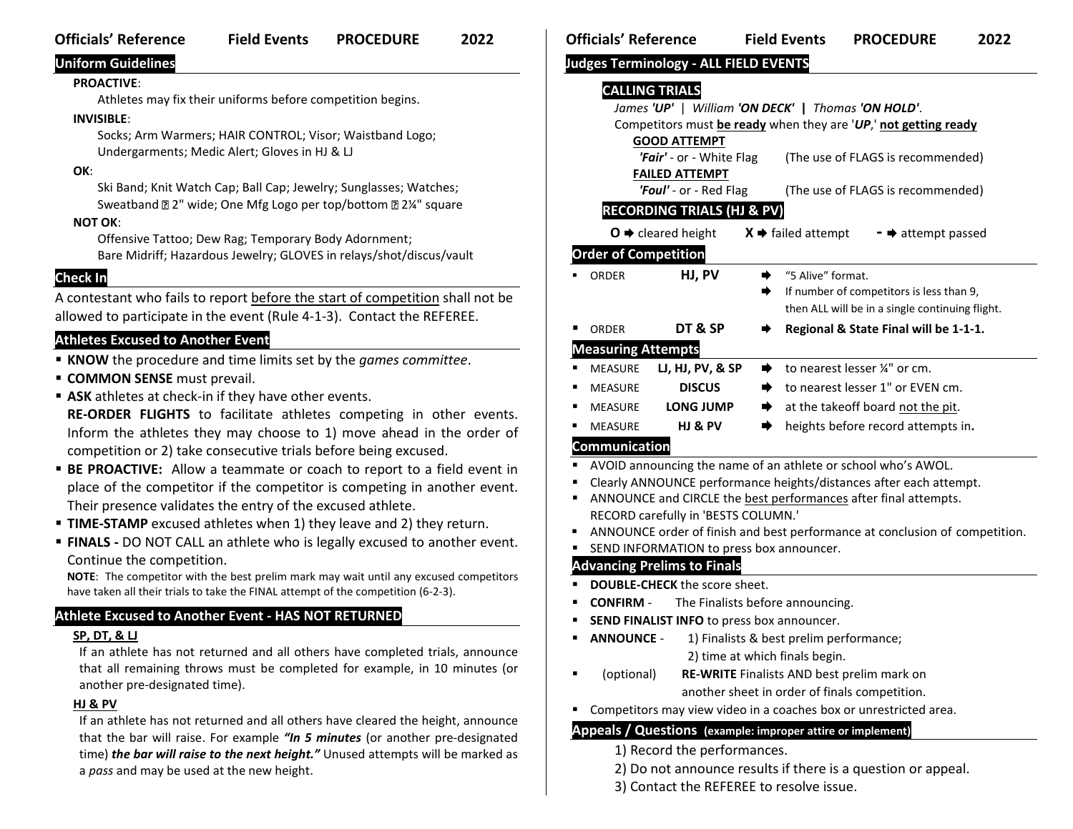# **Officials' Reference Field Events PROCEDURE 2022**

# **Uniform Guidelines**

## **PROACTIVE**:

Athletes may fix their uniforms before competition begins.

## **INVISIBLE**:

Socks; Arm Warmers; HAIR CONTROL; Visor; Waistband Logo; Undergarments; Medic Alert; Gloves in HJ & LJ

# **OK**:

Ski Band; Knit Watch Cap; Ball Cap; Jewelry; Sunglasses; Watches; Sweatband 2<sup>"</sup> wide; One Mfg Logo per top/bottom 22¼" square **NOT OK**:

Offensive Tattoo; Dew Rag; Temporary Body Adornment; Bare Midriff; Hazardous Jewelry; GLOVES in relays/shot/discus/vault

# **Check In**

A contestant who fails to report before the start of competition shall not be allowed to participate in the event (Rule 4-1-3). Contact the REFEREE.

# **Athletes Excused to Another Event**

- **KNOW** the procedure and time limits set by the *games committee*.
- **EXECOMMON SENSE** must prevail.
- **EXECT ASK** athletes at check-in if they have other events.

**RE-ORDER FLIGHTS** to facilitate athletes competing in other events. Inform the athletes they may choose to 1) move ahead in the order of competition or 2) take consecutive trials before being excused.

- **E PROACTIVE:** Allow a teammate or coach to report to a field event in place of the competitor if the competitor is competing in another event. Their presence validates the entry of the excused athlete.
- **TIME-STAMP** excused athletes when 1) they leave and 2) they return.
- **FINALS** DO NOT CALL an athlete who is legally excused to another event. Continue the competition.

**NOTE**: The competitor with the best prelim mark may wait until any excused competitors have taken all their trials to take the FINAL attempt of the competition (6-2-3).

# **Athlete Excused to Another Event - HAS NOT RETURNED**

## **SP, DT, & LJ**

If an athlete has not returned and all others have completed trials, announce that all remaining throws must be completed for example, in 10 minutes (or another pre-designated time).

## **HJ & PV**

If an athlete has not returned and all others have cleared the height, announce that the bar will raise. For example *"In 5 minutes* (or another pre-designated time) *the bar will raise to the next height."* Unused attempts will be marked as a *pass* and may be used at the new height.

# **Judges Terminology - ALL FIELD EVENTS**

# **CALLING TRIALS**

|                                                             | James 'UP'   William 'ON DECK'   Thomas 'ON HOLD'.                 |                                                 |                                                                             |  |  |  |  |
|-------------------------------------------------------------|--------------------------------------------------------------------|-------------------------------------------------|-----------------------------------------------------------------------------|--|--|--|--|
|                                                             | Competitors must be ready when they are 'UP,' not getting ready    |                                                 |                                                                             |  |  |  |  |
|                                                             | <b>GOOD ATTEMPT</b>                                                |                                                 |                                                                             |  |  |  |  |
|                                                             | 'Fair' - or - White Flag<br>(The use of FLAGS is recommended)      |                                                 |                                                                             |  |  |  |  |
|                                                             |                                                                    | <b>FAILED ATTEMPT</b><br>'Foul' - or - Red Flag | (The use of FLAGS is recommended)                                           |  |  |  |  |
|                                                             |                                                                    | <b>RECORDING TRIALS (HJ &amp; PV</b>            |                                                                             |  |  |  |  |
|                                                             |                                                                    |                                                 |                                                                             |  |  |  |  |
|                                                             |                                                                    | $O \rightarrow$ cleared height                  | $X \rightarrow$ failed attempt<br>$\bullet$ attempt passed                  |  |  |  |  |
|                                                             | <b>Order of Competition</b>                                        |                                                 |                                                                             |  |  |  |  |
|                                                             | ORDER                                                              | HJ, PV                                          | "5 Alive" format.<br>➡                                                      |  |  |  |  |
|                                                             |                                                                    |                                                 | If number of competitors is less than 9,<br>➡                               |  |  |  |  |
|                                                             |                                                                    |                                                 | then ALL will be in a single continuing flight.                             |  |  |  |  |
|                                                             | ORDER                                                              | DT & SP                                         | Regional & State Final will be 1-1-1.                                       |  |  |  |  |
| <b>Measuring Attempts</b>                                   |                                                                    |                                                 |                                                                             |  |  |  |  |
|                                                             | <b>MEASURE</b>                                                     | <b>LJ, HJ, PV, &amp; SP</b>                     | to nearest lesser 1/4" or cm.<br>⋫                                          |  |  |  |  |
|                                                             | <b>MEASURE</b>                                                     | <b>DISCUS</b>                                   | to nearest lesser 1" or EVEN cm.<br>➡                                       |  |  |  |  |
|                                                             | <b>MEASURE</b>                                                     | <b>LONG JUMP</b>                                | at the takeoff board not the pit.<br>➡                                      |  |  |  |  |
|                                                             | <b>MEASURE</b>                                                     | HJ & PV                                         | heights before record attempts in.<br>➡                                     |  |  |  |  |
| <b>Communication</b>                                        |                                                                    |                                                 |                                                                             |  |  |  |  |
|                                                             |                                                                    |                                                 | AVOID announcing the name of an athlete or school who's AWOL.               |  |  |  |  |
|                                                             | Clearly ANNOUNCE performance heights/distances after each attempt. |                                                 |                                                                             |  |  |  |  |
| п                                                           |                                                                    |                                                 | ANNOUNCE and CIRCLE the best performances after final attempts.             |  |  |  |  |
|                                                             | RECORD carefully in 'BESTS COLUMN.'                                |                                                 |                                                                             |  |  |  |  |
|                                                             |                                                                    |                                                 | ANNOUNCE order of finish and best performance at conclusion of competition. |  |  |  |  |
|                                                             |                                                                    | SEND INFORMATION to press box announcer.        |                                                                             |  |  |  |  |
|                                                             |                                                                    | <b>Advancing Prelims to Finals</b>              |                                                                             |  |  |  |  |
|                                                             |                                                                    | <b>DOUBLE-CHECK</b> the score sheet.            |                                                                             |  |  |  |  |
|                                                             | <b>CONFIRM -</b>                                                   |                                                 | The Finalists before announcing.                                            |  |  |  |  |
|                                                             | SEND FINALIST INFO to press box announcer.                         |                                                 |                                                                             |  |  |  |  |
|                                                             | <b>ANNOUNCE -</b>                                                  |                                                 | 1) Finalists & best prelim performance;                                     |  |  |  |  |
|                                                             |                                                                    |                                                 | 2) time at which finals begin.                                              |  |  |  |  |
|                                                             | (optional)                                                         |                                                 | RE-WRITE Finalists AND best prelim mark on                                  |  |  |  |  |
|                                                             |                                                                    |                                                 | another sheet in order of finals competition.                               |  |  |  |  |
|                                                             |                                                                    |                                                 | Competitors may view video in a coaches box or unrestricted area.           |  |  |  |  |
| Appeals / Questions (example: improper attire or implement) |                                                                    |                                                 |                                                                             |  |  |  |  |
|                                                             | 1) Record the performances.                                        |                                                 |                                                                             |  |  |  |  |

- 2) Do not announce results if there is a question or appeal.
- 3) Contact the REFEREE to resolve issue.